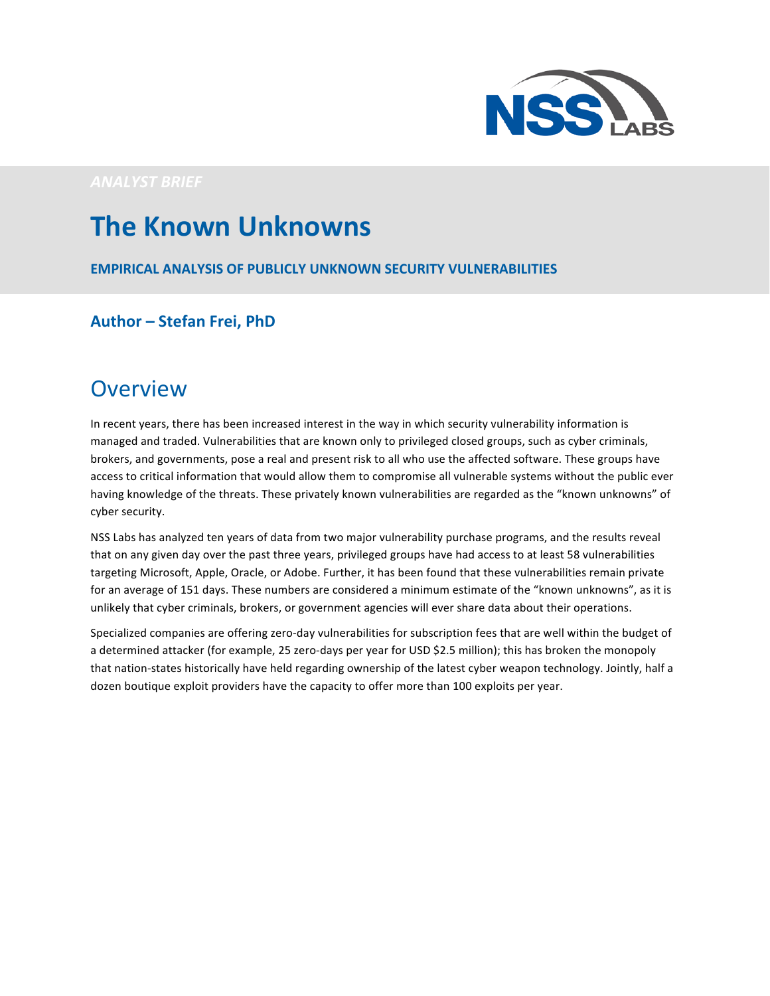

*ANALYST BRIEF*

# **The Known Unknowns**

**EMPIRICAL ANALYSIS OF PUBLICLY UNKNOWN SECURITY VULNERABILITIES** 

**Author – Stefan Frei, PhD** 

## **Overview**

In recent years, there has been increased interest in the way in which security vulnerability information is managed and traded. Vulnerabilities that are known only to privileged closed groups, such as cyber criminals, brokers, and governments, pose a real and present risk to all who use the affected software. These groups have access to critical information that would allow them to compromise all vulnerable systems without the public ever having knowledge of the threats. These privately known vulnerabilities are regarded as the "known unknowns" of cyber security.

NSS Labs has analyzed ten years of data from two major vulnerability purchase programs, and the results reveal that on any given day over the past three years, privileged groups have had access to at least 58 vulnerabilities targeting Microsoft, Apple, Oracle, or Adobe. Further, it has been found that these vulnerabilities remain private for an average of 151 days. These numbers are considered a minimum estimate of the "known unknowns", as it is unlikely that cyber criminals, brokers, or government agencies will ever share data about their operations.

Specialized companies are offering zero-day vulnerabilities for subscription fees that are well within the budget of a determined attacker (for example, 25 zero-days per year for USD \$2.5 million); this has broken the monopoly that nation-states historically have held regarding ownership of the latest cyber weapon technology. Jointly, half a dozen boutique exploit providers have the capacity to offer more than 100 exploits per year.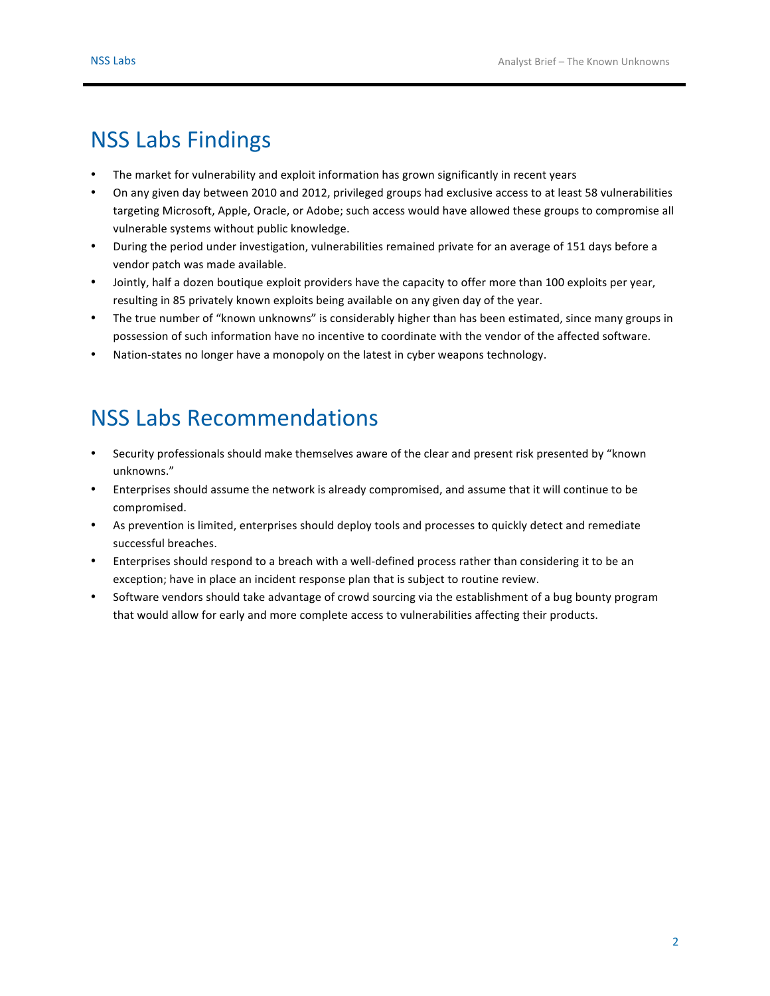## **NSS Labs Findings**

- The market for vulnerability and exploit information has grown significantly in recent years
- On any given day between 2010 and 2012, privileged groups had exclusive access to at least 58 vulnerabilities targeting Microsoft, Apple, Oracle, or Adobe; such access would have allowed these groups to compromise all vulnerable systems without public knowledge.
- During the period under investigation, vulnerabilities remained private for an average of 151 days before a vendor patch was made available.
- Jointly, half a dozen boutique exploit providers have the capacity to offer more than 100 exploits per year, resulting in 85 privately known exploits being available on any given day of the year.
- The true number of "known unknowns" is considerably higher than has been estimated, since many groups in possession of such information have no incentive to coordinate with the vendor of the affected software.
- Nation-states no longer have a monopoly on the latest in cyber weapons technology.

# **NSS Labs Recommendations**

- Security professionals should make themselves aware of the clear and present risk presented by "known unknowns."
- Enterprises should assume the network is already compromised, and assume that it will continue to be compromised.
- As prevention is limited, enterprises should deploy tools and processes to quickly detect and remediate successful breaches.
- Enterprises should respond to a breach with a well-defined process rather than considering it to be an exception; have in place an incident response plan that is subject to routine review.
- Software vendors should take advantage of crowd sourcing via the establishment of a bug bounty program that would allow for early and more complete access to vulnerabilities affecting their products.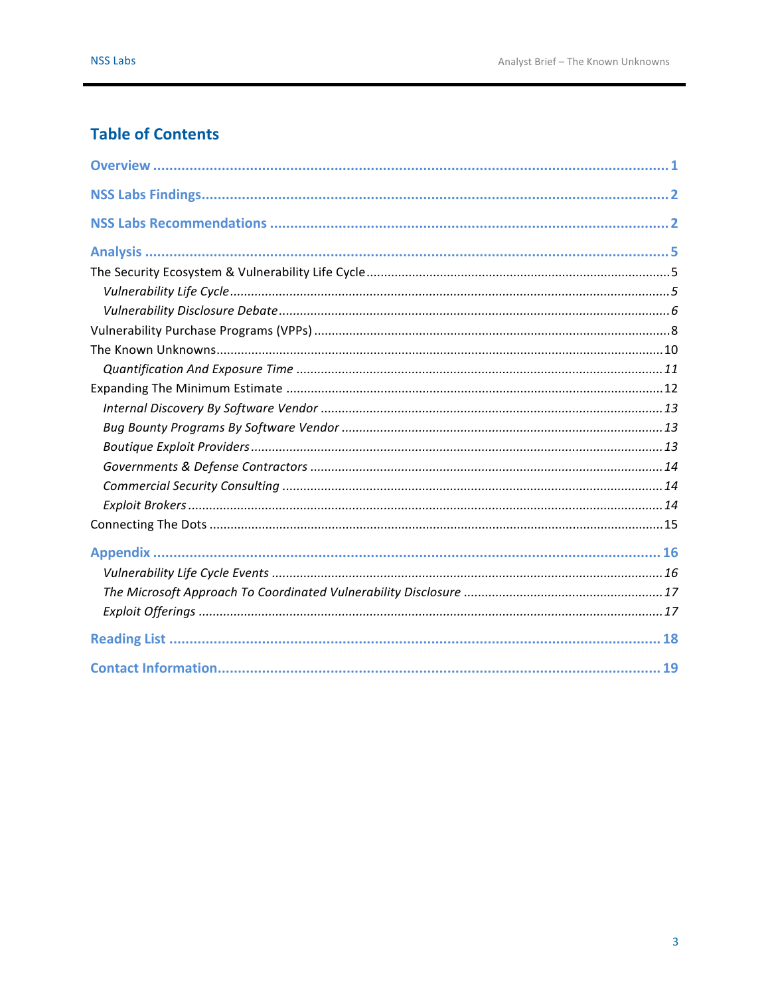### **Table of Contents**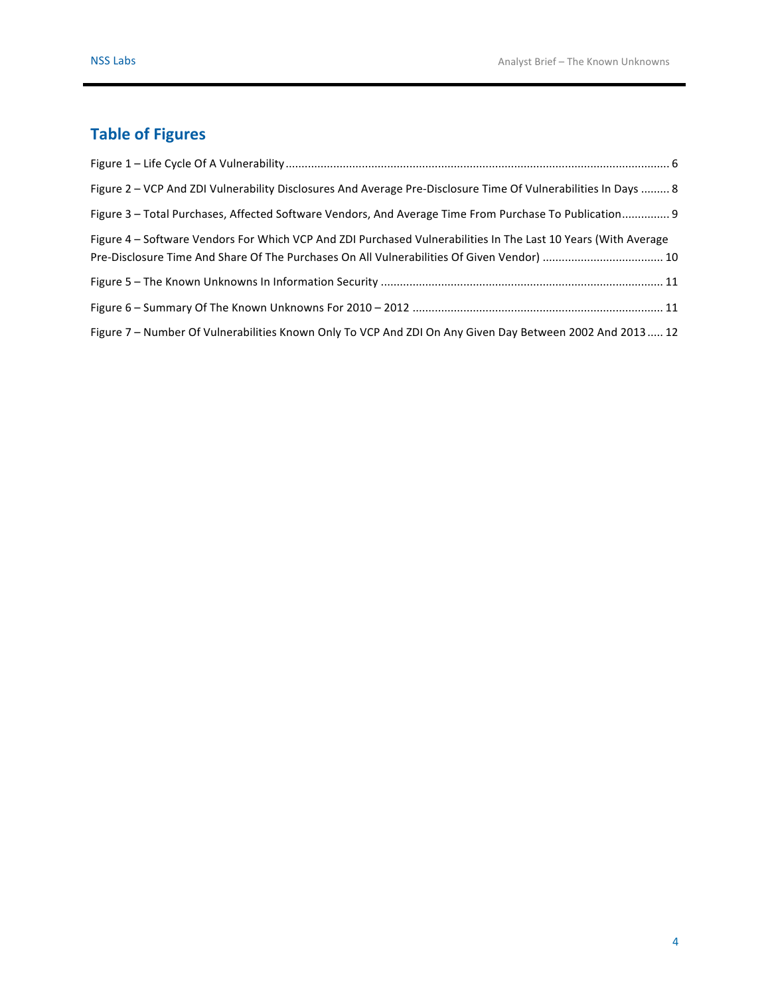## **Table of Figures**

| Figure 2 - VCP And ZDI Vulnerability Disclosures And Average Pre-Disclosure Time Of Vulnerabilities In Days  8                                                                                               |
|--------------------------------------------------------------------------------------------------------------------------------------------------------------------------------------------------------------|
| Figure 3 – Total Purchases, Affected Software Vendors, And Average Time From Purchase To Publication 9                                                                                                       |
| Figure 4 – Software Vendors For Which VCP And ZDI Purchased Vulnerabilities In The Last 10 Years (With Average<br>Pre-Disclosure Time And Share Of The Purchases On All Vulnerabilities Of Given Vendor)  10 |
|                                                                                                                                                                                                              |
|                                                                                                                                                                                                              |
| Figure 7 - Number Of Vulnerabilities Known Only To VCP And ZDI On Any Given Day Between 2002 And 2013 12                                                                                                     |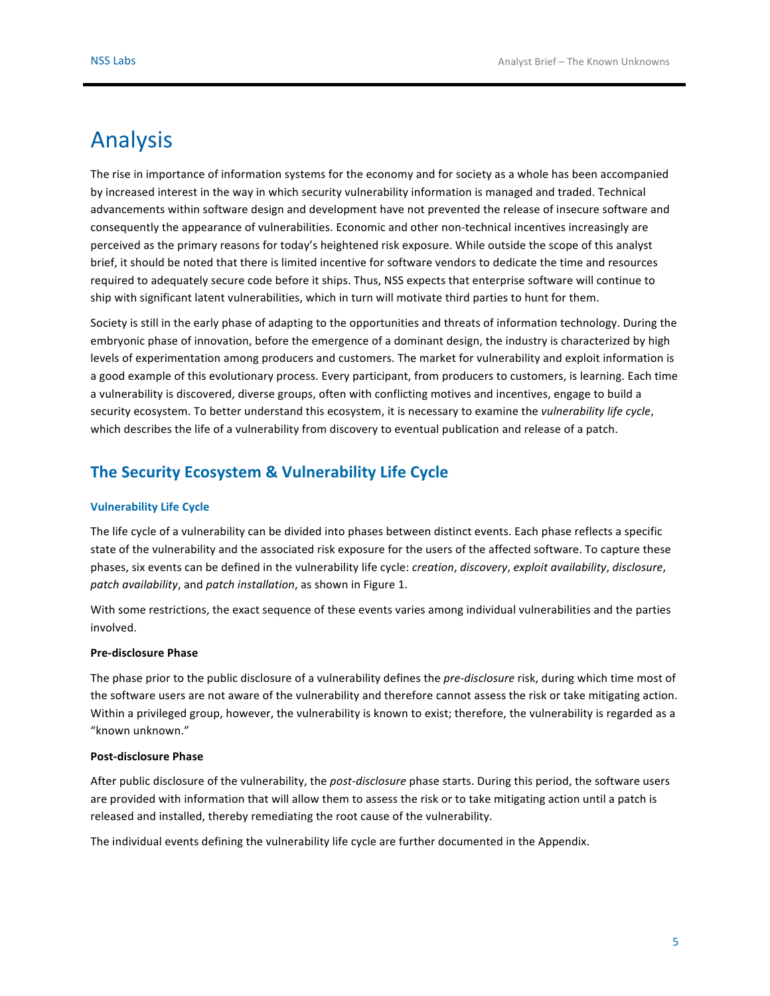## Analysis

The rise in importance of information systems for the economy and for society as a whole has been accompanied by increased interest in the way in which security vulnerability information is managed and traded. Technical advancements within software design and development have not prevented the release of insecure software and consequently the appearance of vulnerabilities. Economic and other non-technical incentives increasingly are perceived as the primary reasons for today's heightened risk exposure. While outside the scope of this analyst brief, it should be noted that there is limited incentive for software vendors to dedicate the time and resources required to adequately secure code before it ships. Thus, NSS expects that enterprise software will continue to ship with significant latent vulnerabilities, which in turn will motivate third parties to hunt for them.

Society is still in the early phase of adapting to the opportunities and threats of information technology. During the embryonic phase of innovation, before the emergence of a dominant design, the industry is characterized by high levels of experimentation among producers and customers. The market for vulnerability and exploit information is a good example of this evolutionary process. Every participant, from producers to customers, is learning. Each time a vulnerability is discovered, diverse groups, often with conflicting motives and incentives, engage to build a security ecosystem. To better understand this ecosystem, it is necessary to examine the *vulnerability life cycle*, which describes the life of a vulnerability from discovery to eventual publication and release of a patch.

### **The Security Ecosystem & Vulnerability Life Cycle**

#### **Vulnerability Life Cycle**

The life cycle of a vulnerability can be divided into phases between distinct events. Each phase reflects a specific state of the vulnerability and the associated risk exposure for the users of the affected software. To capture these phases, six events can be defined in the vulnerability life cycle: *creation*, *discovery*, *exploit availability*, *disclosure*, *patch availability*, and *patch installation*, as shown in Figure 1. 

With some restrictions, the exact sequence of these events varies among individual vulnerabilities and the parties involved.

#### **Pre-disclosure Phase**

The phase prior to the public disclosure of a vulnerability defines the *pre-disclosure* risk, during which time most of the software users are not aware of the vulnerability and therefore cannot assess the risk or take mitigating action. Within a privileged group, however, the vulnerability is known to exist; therefore, the vulnerability is regarded as a "known unknown."

#### **Post-disclosure Phase**

After public disclosure of the vulnerability, the *post-disclosure* phase starts. During this period, the software users are provided with information that will allow them to assess the risk or to take mitigating action until a patch is released and installed, thereby remediating the root cause of the vulnerability.

The individual events defining the vulnerability life cycle are further documented in the Appendix.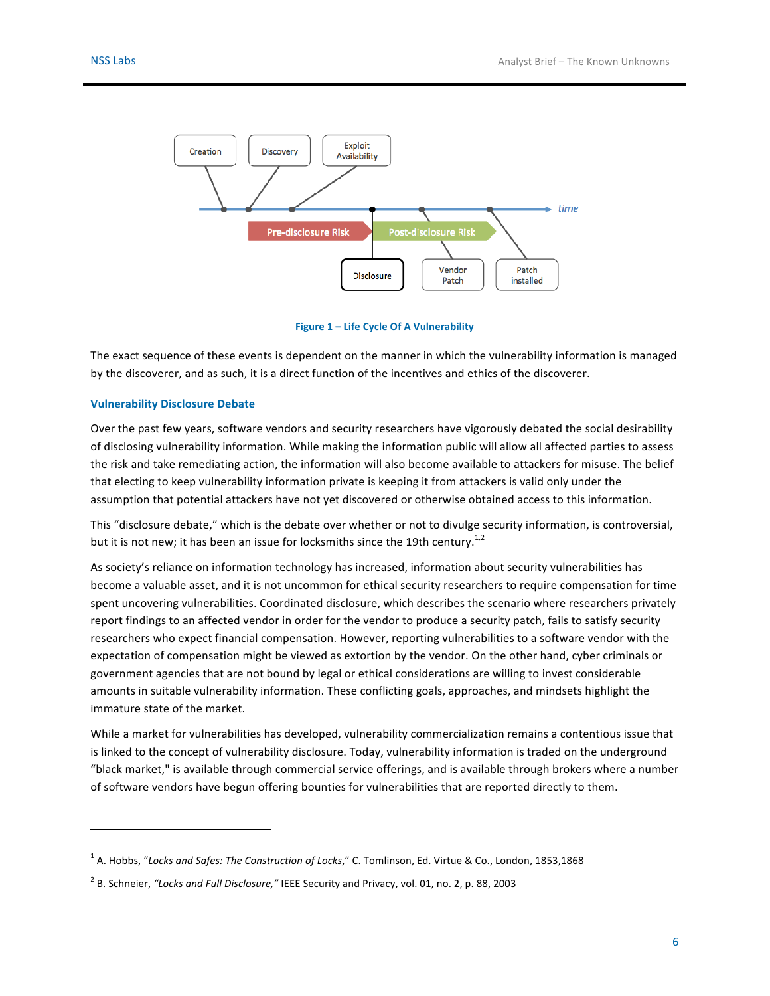

**Figure 1 – Life Cycle Of A Vulnerability**

The exact sequence of these events is dependent on the manner in which the vulnerability information is managed by the discoverer, and as such, it is a direct function of the incentives and ethics of the discoverer.

#### **Vulnerability Disclosure Debate**

 

Over the past few years, software vendors and security researchers have vigorously debated the social desirability of disclosing vulnerability information. While making the information public will allow all affected parties to assess the risk and take remediating action, the information will also become available to attackers for misuse. The belief that electing to keep vulnerability information private is keeping it from attackers is valid only under the assumption that potential attackers have not yet discovered or otherwise obtained access to this information.

This "disclosure debate," which is the debate over whether or not to divulge security information, is controversial, but it is not new; it has been an issue for locksmiths since the 19th century.<sup>1,2</sup>

As society's reliance on information technology has increased, information about security vulnerabilities has become a valuable asset, and it is not uncommon for ethical security researchers to require compensation for time spent uncovering vulnerabilities. Coordinated disclosure, which describes the scenario where researchers privately report findings to an affected vendor in order for the vendor to produce a security patch, fails to satisfy security researchers who expect financial compensation. However, reporting vulnerabilities to a software vendor with the expectation of compensation might be viewed as extortion by the vendor. On the other hand, cyber criminals or government agencies that are not bound by legal or ethical considerations are willing to invest considerable amounts in suitable vulnerability information. These conflicting goals, approaches, and mindsets highlight the immature state of the market.

While a market for vulnerabilities has developed, vulnerability commercialization remains a contentious issue that is linked to the concept of vulnerability disclosure. Today, vulnerability information is traded on the underground "black market," is available through commercial service offerings, and is available through brokers where a number of software vendors have begun offering bounties for vulnerabilities that are reported directly to them.

<sup>&</sup>lt;sup>1</sup> A. Hobbs, "Locks and Safes: The Construction of Locks," C. Tomlinson, Ed. Virtue & Co., London, 1853,1868

<sup>&</sup>lt;sup>2</sup> B. Schneier, "Locks and Full Disclosure," IEEE Security and Privacy, vol. 01, no. 2, p. 88, 2003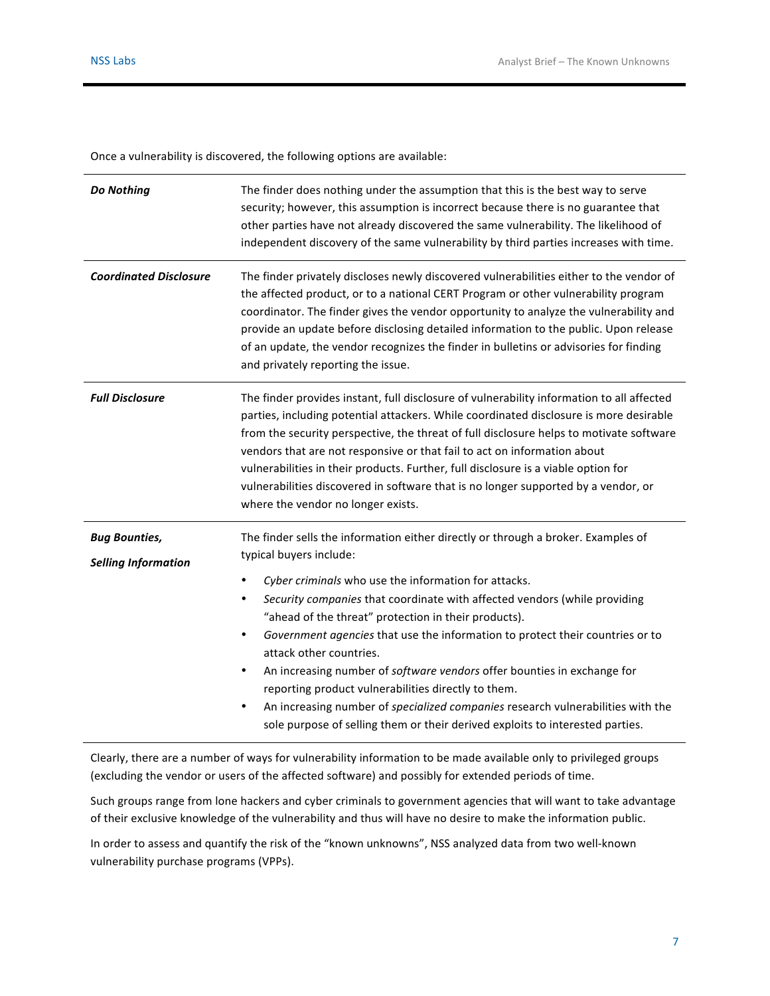Once a vulnerability is discovered, the following options are available:

| Do Nothing                                         | The finder does nothing under the assumption that this is the best way to serve<br>security; however, this assumption is incorrect because there is no guarantee that<br>other parties have not already discovered the same vulnerability. The likelihood of<br>independent discovery of the same vulnerability by third parties increases with time.                                                                                                                                                                                                                                                                                                                                                                                                                        |  |  |
|----------------------------------------------------|------------------------------------------------------------------------------------------------------------------------------------------------------------------------------------------------------------------------------------------------------------------------------------------------------------------------------------------------------------------------------------------------------------------------------------------------------------------------------------------------------------------------------------------------------------------------------------------------------------------------------------------------------------------------------------------------------------------------------------------------------------------------------|--|--|
| <b>Coordinated Disclosure</b>                      | The finder privately discloses newly discovered vulnerabilities either to the vendor of<br>the affected product, or to a national CERT Program or other vulnerability program<br>coordinator. The finder gives the vendor opportunity to analyze the vulnerability and<br>provide an update before disclosing detailed information to the public. Upon release<br>of an update, the vendor recognizes the finder in bulletins or advisories for finding<br>and privately reporting the issue.                                                                                                                                                                                                                                                                                |  |  |
| <b>Full Disclosure</b>                             | The finder provides instant, full disclosure of vulnerability information to all affected<br>parties, including potential attackers. While coordinated disclosure is more desirable<br>from the security perspective, the threat of full disclosure helps to motivate software<br>vendors that are not responsive or that fail to act on information about<br>vulnerabilities in their products. Further, full disclosure is a viable option for<br>vulnerabilities discovered in software that is no longer supported by a vendor, or<br>where the vendor no longer exists.                                                                                                                                                                                                 |  |  |
| <b>Bug Bounties,</b><br><b>Selling Information</b> | The finder sells the information either directly or through a broker. Examples of<br>typical buyers include:<br>Cyber criminals who use the information for attacks.<br>$\bullet$<br>Security companies that coordinate with affected vendors (while providing<br>$\bullet$<br>"ahead of the threat" protection in their products).<br>Government agencies that use the information to protect their countries or to<br>٠<br>attack other countries.<br>An increasing number of software vendors offer bounties in exchange for<br>٠<br>reporting product vulnerabilities directly to them.<br>An increasing number of specialized companies research vulnerabilities with the<br>$\bullet$<br>sole purpose of selling them or their derived exploits to interested parties. |  |  |

Clearly, there are a number of ways for vulnerability information to be made available only to privileged groups (excluding the vendor or users of the affected software) and possibly for extended periods of time.

Such groups range from lone hackers and cyber criminals to government agencies that will want to take advantage of their exclusive knowledge of the vulnerability and thus will have no desire to make the information public.

In order to assess and quantify the risk of the "known unknowns", NSS analyzed data from two well-known vulnerability purchase programs (VPPs).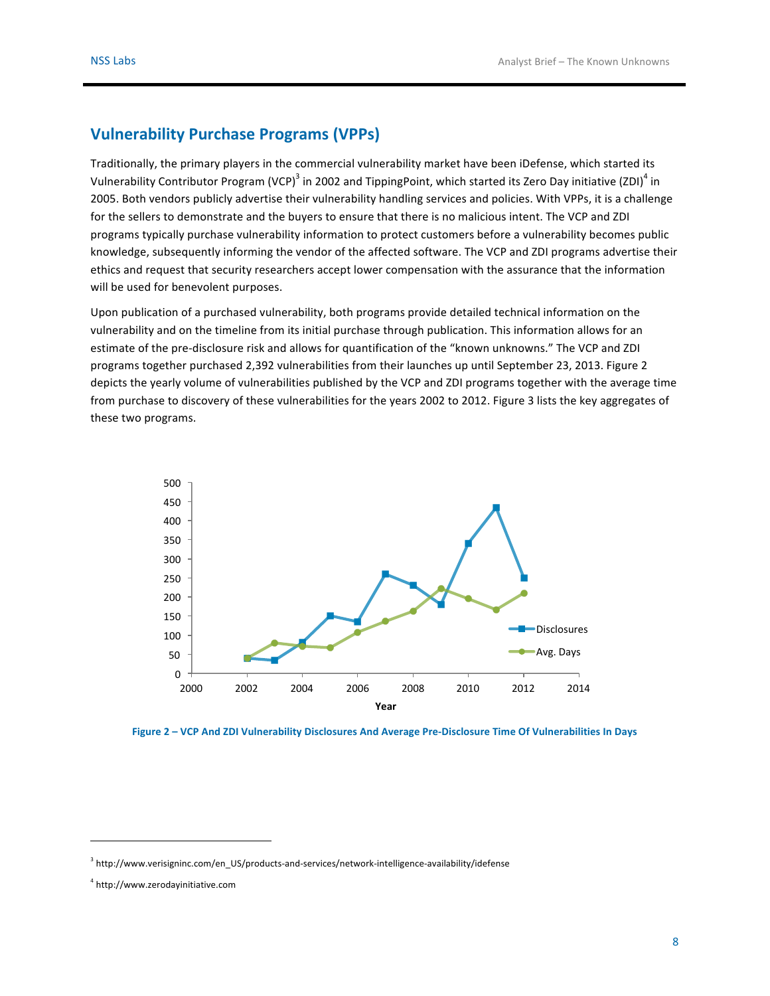### **Vulnerability Purchase Programs (VPPs)**

Traditionally, the primary players in the commercial vulnerability market have been iDefense, which started its Vulnerability Contributor Program (VCP)<sup>3</sup> in 2002 and TippingPoint, which started its Zero Day initiative (ZDI)<sup>4</sup> in 2005. Both vendors publicly advertise their vulnerability handling services and policies. With VPPs, it is a challenge for the sellers to demonstrate and the buyers to ensure that there is no malicious intent. The VCP and ZDI programs typically purchase vulnerability information to protect customers before a vulnerability becomes public knowledge, subsequently informing the vendor of the affected software. The VCP and ZDI programs advertise their ethics and request that security researchers accept lower compensation with the assurance that the information will be used for benevolent purposes.

Upon publication of a purchased vulnerability, both programs provide detailed technical information on the vulnerability and on the timeline from its initial purchase through publication. This information allows for an estimate of the pre-disclosure risk and allows for quantification of the "known unknowns." The VCP and ZDI programs together purchased 2,392 vulnerabilities from their launches up until September 23, 2013. Figure 2 depicts the yearly volume of vulnerabilities published by the VCP and ZDI programs together with the average time from purchase to discovery of these vulnerabilities for the years 2002 to 2012. Figure 3 lists the key aggregates of these two programs.



**Figure 2 – VCP And ZDI Vulnerability Disclosures And Average Pre-Disclosure Time Of Vulnerabilities In Days**

<sup>&</sup>lt;sup>3</sup> http://www.verisigninc.com/en\_US/products-and-services/network-intelligence-availability/idefense

<sup>4</sup> http://www.zerodayinitiative.com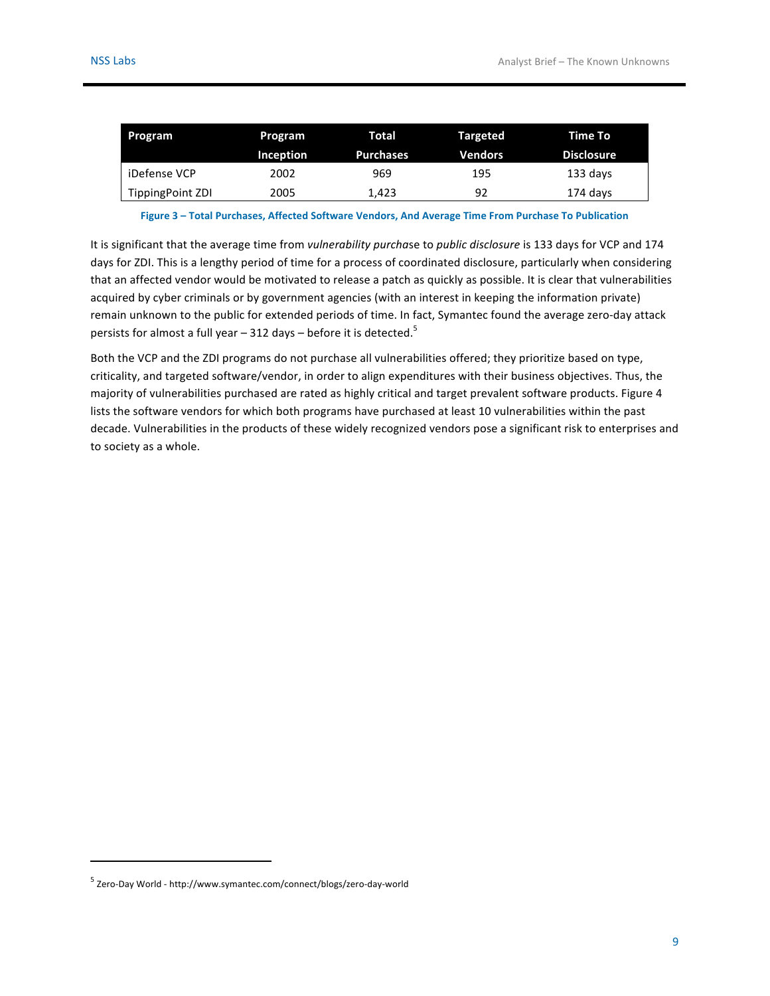| Program          | Program   | Total            | <b>Targeted</b> | Time To           |
|------------------|-----------|------------------|-----------------|-------------------|
|                  | Inception | <b>Purchases</b> | <b>Vendors</b>  | <b>Disclosure</b> |
| iDefense VCP     | 2002      | 969              | 195             | 133 days          |
| TippingPoint ZDI | 2005      | 1.423            | 92              | 174 days          |

Figure 3 - Total Purchases, Affected Software Vendors, And Average Time From Purchase To Publication

It is significant that the average time from *vulnerability purchase* to *public disclosure* is 133 days for VCP and 174 days for ZDI. This is a lengthy period of time for a process of coordinated disclosure, particularly when considering that an affected vendor would be motivated to release a patch as quickly as possible. It is clear that vulnerabilities acquired by cyber criminals or by government agencies (with an interest in keeping the information private) remain unknown to the public for extended periods of time. In fact, Symantec found the average zero-day attack persists for almost a full year – 312 days – before it is detected. $^{\rm 5}$ 

Both the VCP and the ZDI programs do not purchase all vulnerabilities offered; they prioritize based on type, criticality, and targeted software/vendor, in order to align expenditures with their business objectives. Thus, the majority of vulnerabilities purchased are rated as highly critical and target prevalent software products. Figure 4 lists the software vendors for which both programs have purchased at least 10 vulnerabilities within the past decade. Vulnerabilities in the products of these widely recognized vendors pose a significant risk to enterprises and to society as a whole.

<sup>&</sup>lt;sup>5</sup> Zero-Day World - http://www.symantec.com/connect/blogs/zero-day-world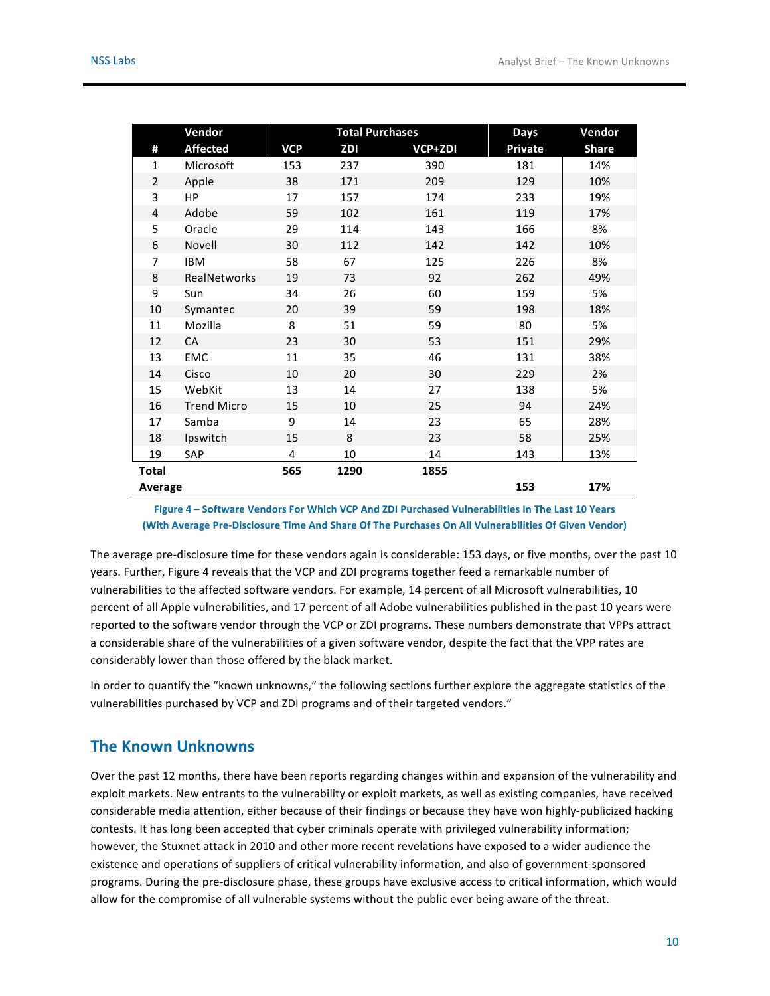|                | Vendor             | <b>Total Purchases</b> |      | Days           | Vendor  |              |
|----------------|--------------------|------------------------|------|----------------|---------|--------------|
| #              | <b>Affected</b>    | <b>VCP</b>             | ZDI  | <b>VCP+ZDI</b> | Private | <b>Share</b> |
| $\mathbf{1}$   | Microsoft          | 153                    | 237  | 390            | 181     | 14%          |
| $\overline{2}$ | Apple              | 38                     | 171  | 209            | 129     | 10%          |
| 3              | HP                 | 17                     | 157  | 174            | 233     | 19%          |
| 4              | Adobe              | 59                     | 102  | 161            | 119     | 17%          |
| 5              | Oracle             | 29                     | 114  | 143            | 166     | 8%           |
| 6              | Novell             | 30                     | 112  | 142            | 142     | 10%          |
| $\overline{7}$ | <b>IBM</b>         | 58                     | 67   | 125            | 226     | 8%           |
| 8              | RealNetworks       | 19                     | 73   | 92             | 262     | 49%          |
| 9              | Sun                | 34                     | 26   | 60             | 159     | 5%           |
| 10             | Symantec           | 20                     | 39   | 59             | 198     | 18%          |
| 11             | Mozilla            | 8                      | 51   | 59             | 80      | 5%           |
| 12             | CA                 | 23                     | 30   | 53             | 151     | 29%          |
| 13             | EMC                | 11                     | 35   | 46             | 131     | 38%          |
| 14             | Cisco              | 10                     | 20   | 30             | 229     | 2%           |
| 15             | WebKit             | 13                     | 14   | 27             | 138     | 5%           |
| 16             | <b>Trend Micro</b> | 15                     | 10   | 25             | 94      | 24%          |
| 17             | Samba              | 9                      | 14   | 23             | 65      | 28%          |
| 18             | Ipswitch           | 15                     | 8    | 23             | 58      | 25%          |
| 19             | SAP                | 4                      | 10   | 14             | 143     | 13%          |
| <b>Total</b>   |                    | 565                    | 1290 | 1855           |         |              |
| Average        |                    |                        |      |                | 153     | 17%          |

Figure 4 – Software Vendors For Which VCP And ZDI Purchased Vulnerabilities In The Last 10 Years **(With Average Pre-Disclosure Time And Share Of The Purchases On All Vulnerabilities Of Given Vendor)**

The average pre-disclosure time for these vendors again is considerable: 153 days, or five months, over the past 10 years. Further, Figure 4 reveals that the VCP and ZDI programs together feed a remarkable number of vulnerabilities to the affected software vendors. For example, 14 percent of all Microsoft vulnerabilities, 10 percent of all Apple vulnerabilities, and 17 percent of all Adobe vulnerabilities published in the past 10 years were reported to the software vendor through the VCP or ZDI programs. These numbers demonstrate that VPPs attract a considerable share of the vulnerabilities of a given software vendor, despite the fact that the VPP rates are considerably lower than those offered by the black market.

In order to quantify the "known unknowns," the following sections further explore the aggregate statistics of the vulnerabilities purchased by VCP and ZDI programs and of their targeted vendors."

### **The Known Unknowns**

Over the past 12 months, there have been reports regarding changes within and expansion of the vulnerability and exploit markets. New entrants to the vulnerability or exploit markets, as well as existing companies, have received considerable media attention, either because of their findings or because they have won highly-publicized hacking contests. It has long been accepted that cyber criminals operate with privileged vulnerability information; however, the Stuxnet attack in 2010 and other more recent revelations have exposed to a wider audience the existence and operations of suppliers of critical vulnerability information, and also of government-sponsored programs. During the pre-disclosure phase, these groups have exclusive access to critical information, which would allow for the compromise of all vulnerable systems without the public ever being aware of the threat.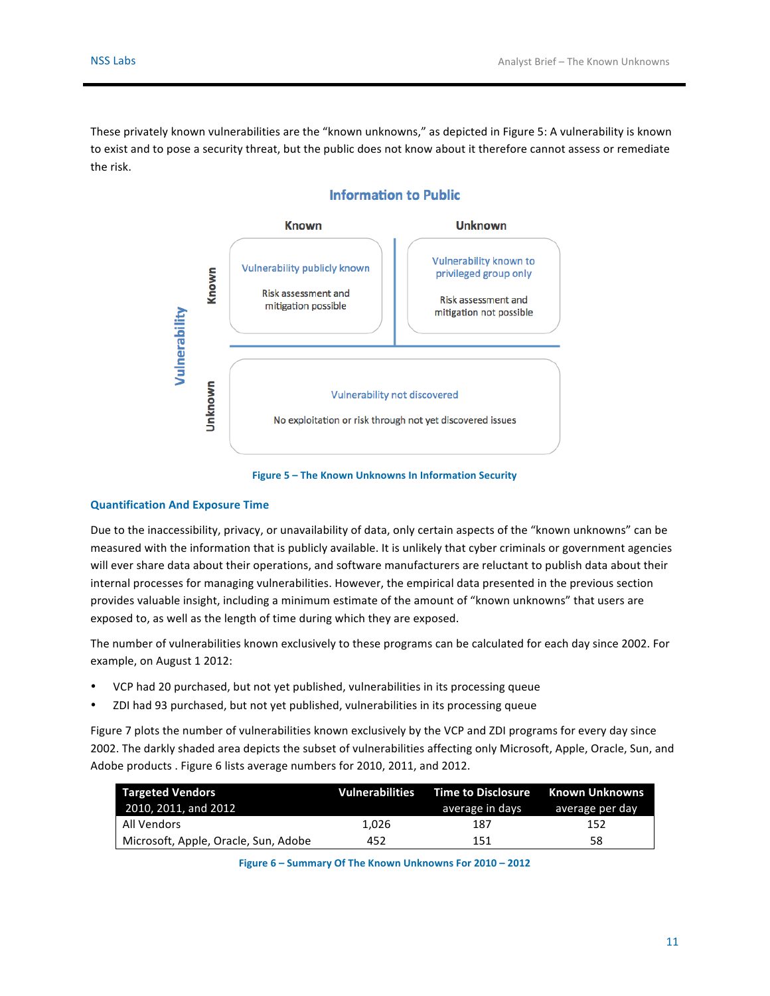These privately known vulnerabilities are the "known unknowns," as depicted in Figure 5: A vulnerability is known to exist and to pose a security threat, but the public does not know about it therefore cannot assess or remediate the risk.



### **Information to Public**

**Figure 5 - The Known Unknowns In Information Security** 

#### **Quantification And Exposure Time**

Due to the inaccessibility, privacy, or unavailability of data, only certain aspects of the "known unknowns" can be measured with the information that is publicly available. It is unlikely that cyber criminals or government agencies will ever share data about their operations, and software manufacturers are reluctant to publish data about their internal processes for managing vulnerabilities. However, the empirical data presented in the previous section provides valuable insight, including a minimum estimate of the amount of "known unknowns" that users are exposed to, as well as the length of time during which they are exposed.

The number of vulnerabilities known exclusively to these programs can be calculated for each day since 2002. For example, on August 1 2012:

- VCP had 20 purchased, but not yet published, vulnerabilities in its processing queue
- ZDI had 93 purchased, but not yet published, vulnerabilities in its processing queue

Figure 7 plots the number of vulnerabilities known exclusively by the VCP and ZDI programs for every day since 2002. The darkly shaded area depicts the subset of vulnerabilities affecting only Microsoft, Apple, Oracle, Sun, and Adobe products . Figure 6 lists average numbers for 2010, 2011, and 2012.

| <b>Targeted Vendors</b><br>2010, 2011, and 2012 |       | <b>Vulnerabilities Time to Disclosure</b><br>average in days | <b>Known Unknowns</b><br>average per day |
|-------------------------------------------------|-------|--------------------------------------------------------------|------------------------------------------|
| All Vendors                                     | 1.026 | 187                                                          | 152                                      |
| Microsoft, Apple, Oracle, Sun, Adobe            | 452   | 151                                                          | 58                                       |

**Figure 6 – Summary Of The Known Unknowns For 2010 – 2012**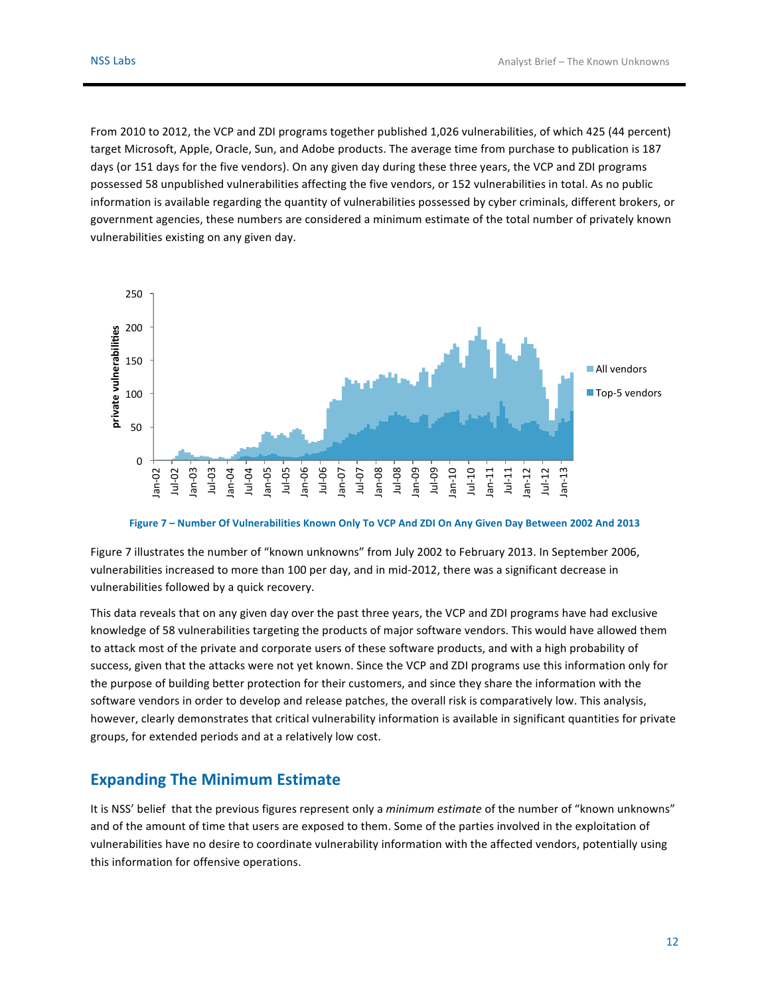From 2010 to 2012, the VCP and ZDI programs together published 1,026 vulnerabilities, of which 425 (44 percent) target Microsoft, Apple, Oracle, Sun, and Adobe products. The average time from purchase to publication is 187 days (or 151 days for the five vendors). On any given day during these three years, the VCP and ZDI programs possessed 58 unpublished vulnerabilities affecting the five vendors, or 152 vulnerabilities in total. As no public information is available regarding the quantity of vulnerabilities possessed by cyber criminals, different brokers, or government agencies, these numbers are considered a minimum estimate of the total number of privately known vulnerabilities existing on any given day.



#### Figure 7 - Number Of Vulnerabilities Known Only To VCP And ZDI On Any Given Day Between 2002 And 2013

Figure 7 illustrates the number of "known unknowns" from July 2002 to February 2013. In September 2006, vulnerabilities increased to more than 100 per day, and in mid-2012, there was a significant decrease in vulnerabilities followed by a quick recovery.

This data reveals that on any given day over the past three years, the VCP and ZDI programs have had exclusive knowledge of 58 vulnerabilities targeting the products of major software vendors. This would have allowed them to attack most of the private and corporate users of these software products, and with a high probability of success, given that the attacks were not yet known. Since the VCP and ZDI programs use this information only for the purpose of building better protection for their customers, and since they share the information with the software vendors in order to develop and release patches, the overall risk is comparatively low. This analysis, however, clearly demonstrates that critical vulnerability information is available in significant quantities for private groups, for extended periods and at a relatively low cost.

#### **Expanding The Minimum Estimate**

It is NSS' belief that the previous figures represent only a *minimum estimate* of the number of "known unknowns" and of the amount of time that users are exposed to them. Some of the parties involved in the exploitation of vulnerabilities have no desire to coordinate vulnerability information with the affected vendors, potentially using this information for offensive operations.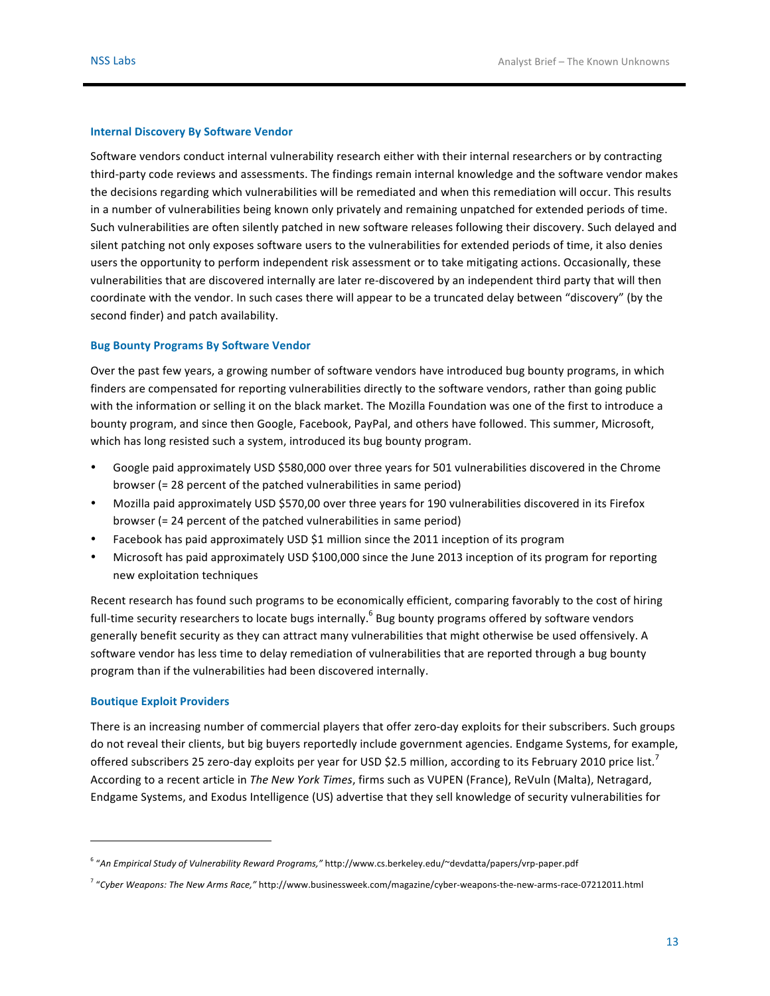#### **Internal Discovery By Software Vendor**

Software vendors conduct internal vulnerability research either with their internal researchers or by contracting third-party code reviews and assessments. The findings remain internal knowledge and the software vendor makes the decisions regarding which vulnerabilities will be remediated and when this remediation will occur. This results in a number of vulnerabilities being known only privately and remaining unpatched for extended periods of time. Such vulnerabilities are often silently patched in new software releases following their discovery. Such delayed and silent patching not only exposes software users to the vulnerabilities for extended periods of time, it also denies users the opportunity to perform independent risk assessment or to take mitigating actions. Occasionally, these vulnerabilities that are discovered internally are later re-discovered by an independent third party that will then coordinate with the vendor. In such cases there will appear to be a truncated delay between "discovery" (by the second finder) and patch availability.

#### **Bug Bounty Programs By Software Vendor**

Over the past few years, a growing number of software vendors have introduced bug bounty programs, in which finders are compensated for reporting vulnerabilities directly to the software vendors, rather than going public with the information or selling it on the black market. The Mozilla Foundation was one of the first to introduce a bounty program, and since then Google, Facebook, PayPal, and others have followed. This summer, Microsoft, which has long resisted such a system, introduced its bug bounty program.

- Google paid approximately USD \$580,000 over three years for 501 vulnerabilities discovered in the Chrome browser (= 28 percent of the patched vulnerabilities in same period)
- Mozilla paid approximately USD \$570,00 over three years for 190 vulnerabilities discovered in its Firefox browser  $(= 24$  percent of the patched vulnerabilities in same period)
- Facebook has paid approximately USD \$1 million since the 2011 inception of its program
- Microsoft has paid approximately USD \$100,000 since the June 2013 inception of its program for reporting new exploitation techniques

Recent research has found such programs to be economically efficient, comparing favorably to the cost of hiring full-time security researchers to locate bugs internally.  $^6$  Bug bounty programs offered by software vendors generally benefit security as they can attract many vulnerabilities that might otherwise be used offensively. A software vendor has less time to delay remediation of vulnerabilities that are reported through a bug bounty program than if the vulnerabilities had been discovered internally.

#### **Boutique Exploit Providers**

 

There is an increasing number of commercial players that offer zero-day exploits for their subscribers. Such groups do not reveal their clients, but big buyers reportedly include government agencies. Endgame Systems, for example, offered subscribers 25 zero-day exploits per year for USD \$2.5 million, according to its February 2010 price list.<sup>7</sup> According to a recent article in *The New York Times*, firms such as VUPEN (France), ReVuln (Malta), Netragard, Endgame Systems, and Exodus Intelligence (US) advertise that they sell knowledge of security vulnerabilities for

<sup>6</sup> "*An Empirical Study of Vulnerability Reward Programs,"* http://www.cs.berkeley.edu/~devdatta/papers/vrp-paper.pdf

<sup>&</sup>lt;sup>7</sup> "Cyber Weapons: The New Arms Race," http://www.businessweek.com/magazine/cyber-weapons-the-new-arms-race-07212011.html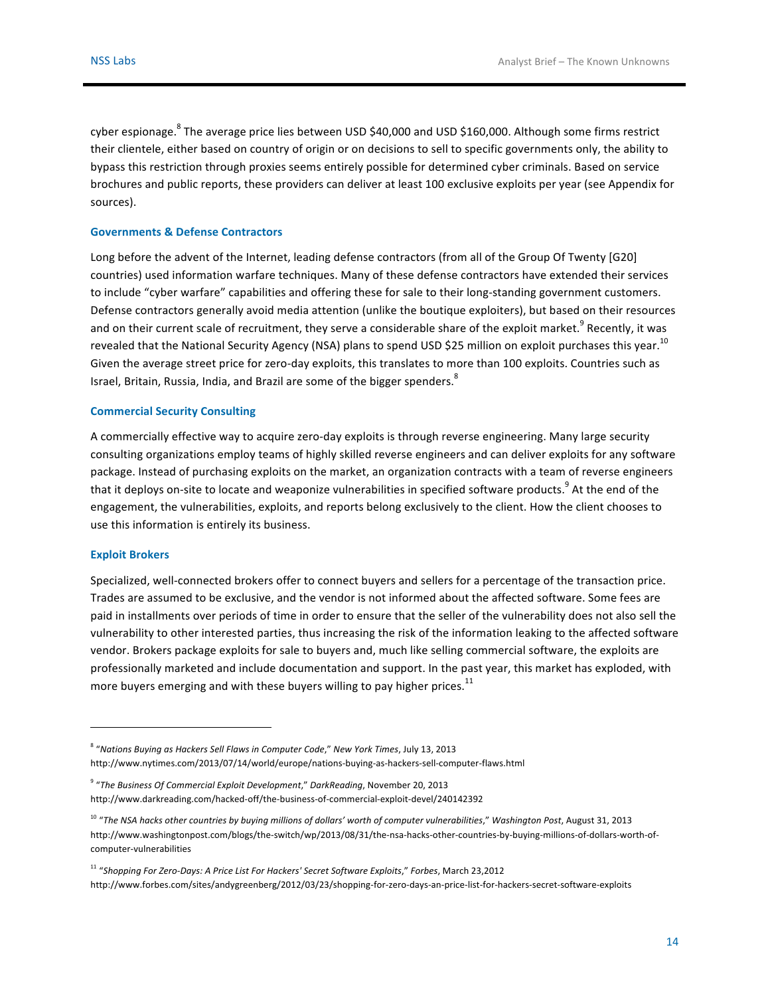cyber espionage. ${}^{8}$  The average price lies between USD \$40,000 and USD \$160,000. Although some firms restrict their clientele, either based on country of origin or on decisions to sell to specific governments only, the ability to bypass this restriction through proxies seems entirely possible for determined cyber criminals. Based on service brochures and public reports, these providers can deliver at least 100 exclusive exploits per year (see Appendix for sources).

#### **Governments & Defense Contractors**

Long before the advent of the Internet, leading defense contractors (from all of the Group Of Twenty [G20] countries) used information warfare techniques. Many of these defense contractors have extended their services to include "cyber warfare" capabilities and offering these for sale to their long-standing government customers. Defense contractors generally avoid media attention (unlike the boutique exploiters), but based on their resources and on their current scale of recruitment, they serve a considerable share of the exploit market.<sup>9</sup> Recently, it was revealed that the National Security Agency (NSA) plans to spend USD \$25 million on exploit purchases this year. $^{10}$ Given the average street price for zero-day exploits, this translates to more than 100 exploits. Countries such as Israel, Britain, Russia, India, and Brazil are some of the bigger spenders. $^8$ 

#### **Commercial Security Consulting**

 

A commercially effective way to acquire zero-day exploits is through reverse engineering. Many large security consulting organizations employ teams of highly skilled reverse engineers and can deliver exploits for any software package. Instead of purchasing exploits on the market, an organization contracts with a team of reverse engineers that it deploys on-site to locate and weaponize vulnerabilities in specified software products.<sup>9</sup> At the end of the engagement, the vulnerabilities, exploits, and reports belong exclusively to the client. How the client chooses to use this information is entirely its business.

#### **Exploit Brokers**

Specialized, well-connected brokers offer to connect buyers and sellers for a percentage of the transaction price. Trades are assumed to be exclusive, and the vendor is not informed about the affected software. Some fees are paid in installments over periods of time in order to ensure that the seller of the vulnerability does not also sell the vulnerability to other interested parties, thus increasing the risk of the information leaking to the affected software vendor. Brokers package exploits for sale to buyers and, much like selling commercial software, the exploits are professionally marketed and include documentation and support. In the past year, this market has exploded, with more buyers emerging and with these buyers willing to pay higher prices. $^{11}$ 

<sup>&</sup>lt;sup>8</sup> "Nations Buying as Hackers Sell Flaws in Computer Code," New York Times, July 13, 2013 http://www.nytimes.com/2013/07/14/world/europe/nations-buying-as-hackers-sell-computer-flaws.html

<sup>&</sup>lt;sup>9</sup> "The Business Of Commercial Exploit Development," DarkReading, November 20, 2013 http://www.darkreading.com/hacked-off/the-business-of-commercial-exploit-devel/240142392

<sup>&</sup>lt;sup>10</sup> "The NSA hacks other countries by buying millions of dollars' worth of computer vulnerabilities," Washington Post, August 31, 2013 http://www.washingtonpost.com/blogs/the-switch/wp/2013/08/31/the-nsa-hacks-other-countries-by-buying-millions-of-dollars-worth-ofcomputer-vulnerabilities

<sup>&</sup>lt;sup>11</sup> "Shopping For Zero-Days: A Price List For Hackers' Secret Software Exploits," Forbes, March 23,2012 http://www.forbes.com/sites/andygreenberg/2012/03/23/shopping-for-zero-days-an-price-list-for-hackers-secret-software-exploits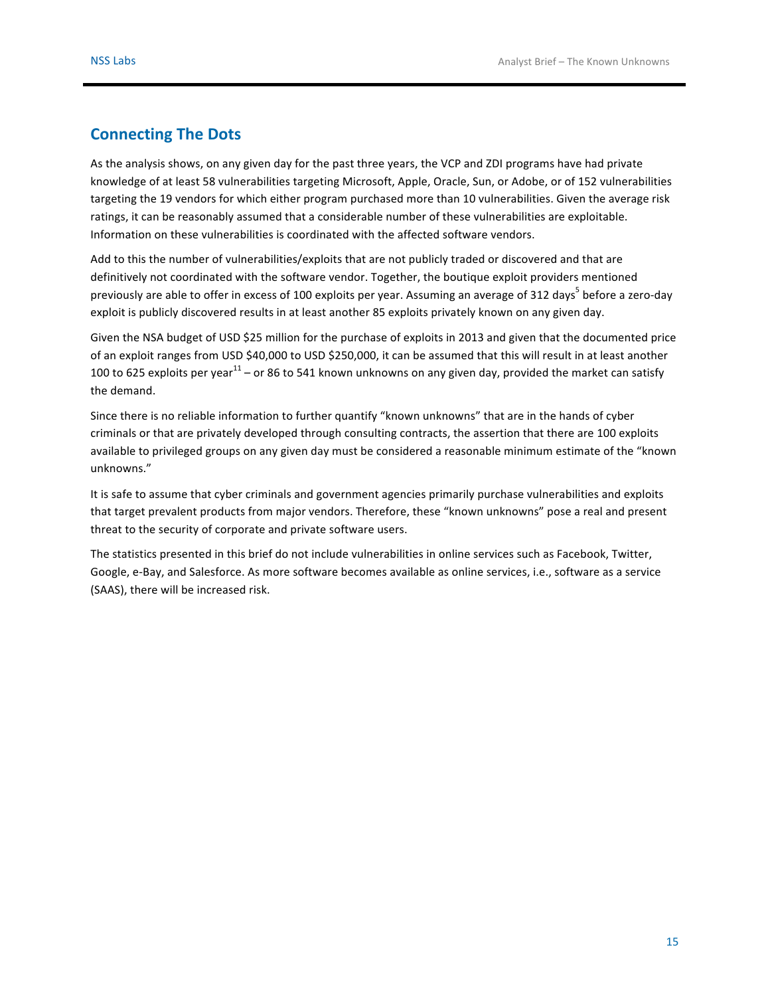### **Connecting The Dots**

As the analysis shows, on any given day for the past three years, the VCP and ZDI programs have had private knowledge of at least 58 vulnerabilities targeting Microsoft, Apple, Oracle, Sun, or Adobe, or of 152 vulnerabilities targeting the 19 vendors for which either program purchased more than 10 vulnerabilities. Given the average risk ratings, it can be reasonably assumed that a considerable number of these vulnerabilities are exploitable. Information on these vulnerabilities is coordinated with the affected software vendors.

Add to this the number of vulnerabilities/exploits that are not publicly traded or discovered and that are definitively not coordinated with the software vendor. Together, the boutique exploit providers mentioned previously are able to offer in excess of 100 exploits per year. Assuming an average of 312 days<sup>5</sup> before a zero-day exploit is publicly discovered results in at least another 85 exploits privately known on any given day.

Given the NSA budget of USD \$25 million for the purchase of exploits in 2013 and given that the documented price of an exploit ranges from USD \$40,000 to USD \$250,000, it can be assumed that this will result in at least another 100 to 625 exploits per year<sup>11</sup> – or 86 to 541 known unknowns on any given day, provided the market can satisfy the demand.

Since there is no reliable information to further quantify "known unknowns" that are in the hands of cyber criminals or that are privately developed through consulting contracts, the assertion that there are 100 exploits available to privileged groups on any given day must be considered a reasonable minimum estimate of the "known unknowns."

It is safe to assume that cyber criminals and government agencies primarily purchase vulnerabilities and exploits that target prevalent products from major vendors. Therefore, these "known unknowns" pose a real and present threat to the security of corporate and private software users.

The statistics presented in this brief do not include vulnerabilities in online services such as Facebook, Twitter, Google, e-Bay, and Salesforce. As more software becomes available as online services, i.e., software as a service (SAAS), there will be increased risk.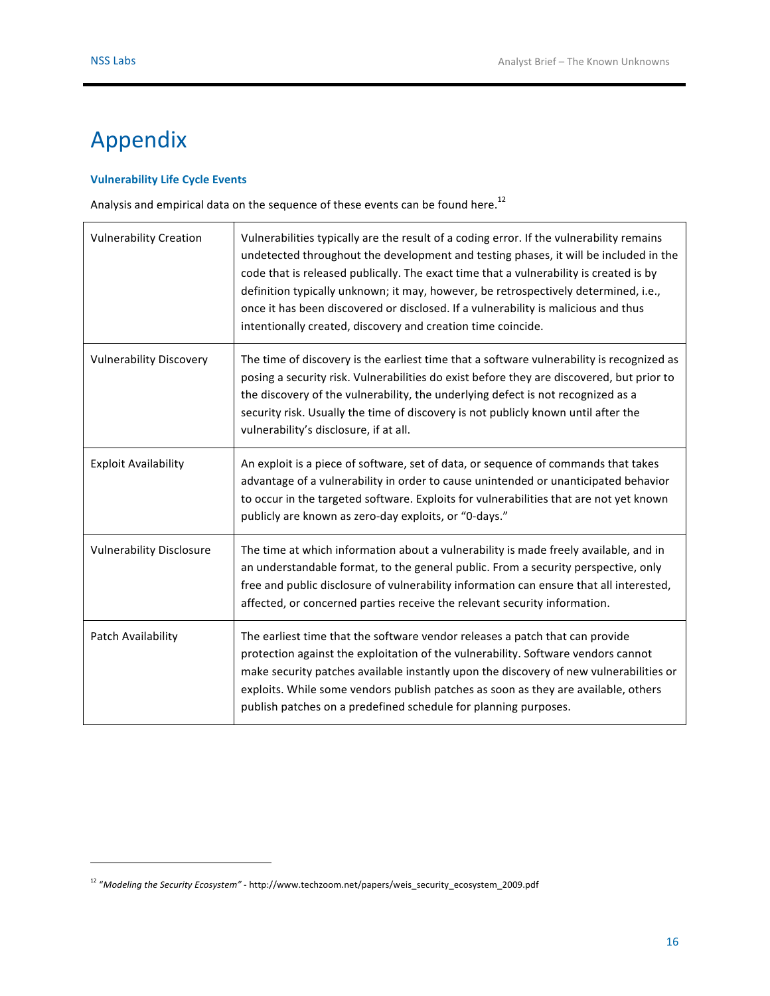# Appendix

#### **Vulnerability Life Cycle Events**

Analysis and empirical data on the sequence of these events can be found here.<sup>12</sup>

| <b>Vulnerability Creation</b>   | Vulnerabilities typically are the result of a coding error. If the vulnerability remains<br>undetected throughout the development and testing phases, it will be included in the<br>code that is released publically. The exact time that a vulnerability is created is by<br>definition typically unknown; it may, however, be retrospectively determined, i.e.,<br>once it has been discovered or disclosed. If a vulnerability is malicious and thus<br>intentionally created, discovery and creation time coincide. |
|---------------------------------|-------------------------------------------------------------------------------------------------------------------------------------------------------------------------------------------------------------------------------------------------------------------------------------------------------------------------------------------------------------------------------------------------------------------------------------------------------------------------------------------------------------------------|
| <b>Vulnerability Discovery</b>  | The time of discovery is the earliest time that a software vulnerability is recognized as<br>posing a security risk. Vulnerabilities do exist before they are discovered, but prior to<br>the discovery of the vulnerability, the underlying defect is not recognized as a<br>security risk. Usually the time of discovery is not publicly known until after the<br>vulnerability's disclosure, if at all.                                                                                                              |
| <b>Exploit Availability</b>     | An exploit is a piece of software, set of data, or sequence of commands that takes<br>advantage of a vulnerability in order to cause unintended or unanticipated behavior<br>to occur in the targeted software. Exploits for vulnerabilities that are not yet known<br>publicly are known as zero-day exploits, or "0-days."                                                                                                                                                                                            |
| <b>Vulnerability Disclosure</b> | The time at which information about a vulnerability is made freely available, and in<br>an understandable format, to the general public. From a security perspective, only<br>free and public disclosure of vulnerability information can ensure that all interested,<br>affected, or concerned parties receive the relevant security information.                                                                                                                                                                      |
| Patch Availability              | The earliest time that the software vendor releases a patch that can provide<br>protection against the exploitation of the vulnerability. Software vendors cannot<br>make security patches available instantly upon the discovery of new vulnerabilities or<br>exploits. While some vendors publish patches as soon as they are available, others<br>publish patches on a predefined schedule for planning purposes.                                                                                                    |

<sup>&</sup>lt;sup>12</sup> "Modeling the Security Ecosystem" - http://www.techzoom.net/papers/weis\_security\_ecosystem\_2009.pdf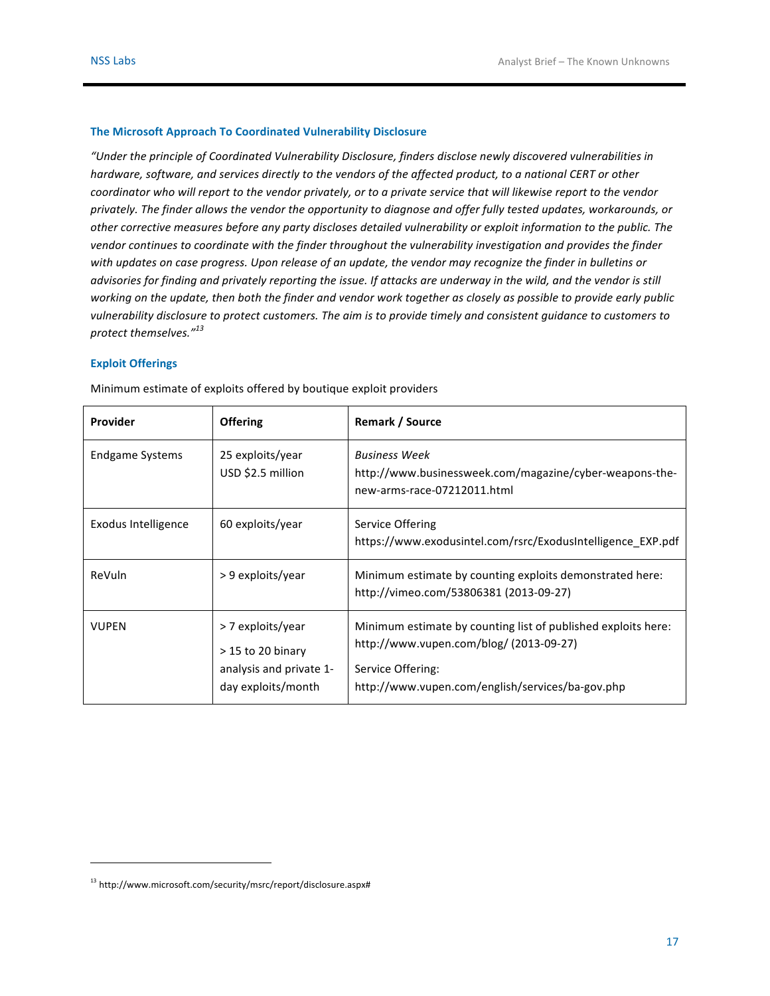#### **The Microsoft Approach To Coordinated Vulnerability Disclosure**

"Under the principle of Coordinated Vulnerability Disclosure, finders disclose newly discovered vulnerabilities in *hardware, software, and services directly to the vendors of the affected product, to a national CERT or other coordinator* who will report to the vendor privately, or to a private service that will likewise report to the vendor privately. The finder allows the vendor the opportunity to diagnose and offer fully tested updates, workarounds, or other corrective measures before any party discloses detailed vulnerability or exploit information to the public. The *vendor continues to coordinate with the finder throughout the vulnerability investigation and provides the finder* with updates on case progress. Upon release of an update, the vendor may recognize the finder in bulletins or *advisories for finding and privately reporting the issue. If attacks are underway in the wild, and the vendor is still* working on the update, then both the finder and vendor work together as closely as possible to provide early public *vulnerability disclosure to protect customers. The aim is to provide timely and consistent guidance to customers to protect themselves." 13*

#### **Exploit Offerings**

| Provider            | <b>Offering</b>                                                                           | Remark / Source                                                                                                                                                                   |
|---------------------|-------------------------------------------------------------------------------------------|-----------------------------------------------------------------------------------------------------------------------------------------------------------------------------------|
| Endgame Systems     | 25 exploits/year<br>USD \$2.5 million                                                     | <b>Business Week</b><br>http://www.businessweek.com/magazine/cyber-weapons-the-<br>new-arms-race-07212011.html                                                                    |
| Exodus Intelligence | 60 exploits/year                                                                          | Service Offering<br>https://www.exodusintel.com/rsrc/ExodusIntelligence EXP.pdf                                                                                                   |
| ReVuln              | > 9 exploits/year                                                                         | Minimum estimate by counting exploits demonstrated here:<br>http://vimeo.com/53806381 (2013-09-27)                                                                                |
| <b>VUPEN</b>        | > 7 exploits/year<br>$>$ 15 to 20 binary<br>analysis and private 1-<br>day exploits/month | Minimum estimate by counting list of published exploits here:<br>http://www.vupen.com/blog/ (2013-09-27)<br>Service Offering:<br>http://www.vupen.com/english/services/ba-gov.php |

Minimum estimate of exploits offered by boutique exploit providers

<sup>13</sup> http://www.microsoft.com/security/msrc/report/disclosure.aspx#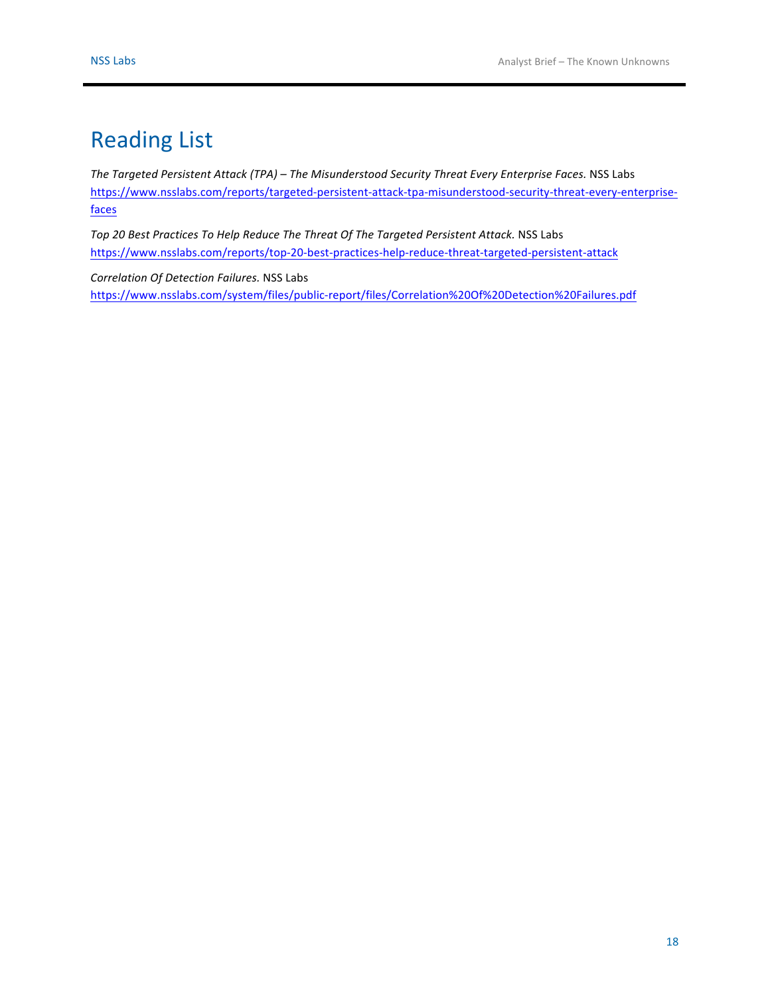# **Reading List**

*The Targeted Persistent Attack* (TPA) – *The Misunderstood Security Threat Every Enterprise Faces.* NSS Labs [https://www.nsslabs.com/reports/targeted-persistent-attack-tpa-misunderstood-security-threat-every-enterprise](https://www.nsslabs.com/reports/targeted-persistent-attack-tpa-misunderstood-security-threat-every-enterprise-faces)faces

Top 20 Best Practices To Help Reduce The Threat Of The Targeted Persistent Attack. NSS Labs <https://www.nsslabs.com/reports/top-20-best-practices-help-reduce-threat-targeted-persistent-attack>

*Correlation Of Detection Failures.* NSS Labs [https://www.nsslabs.com/system/files/public-report/files/Correlation%20Of%20Detection%20Failures.pdf](https://www.nsslabs.com/reports/correlation-detection-failures)